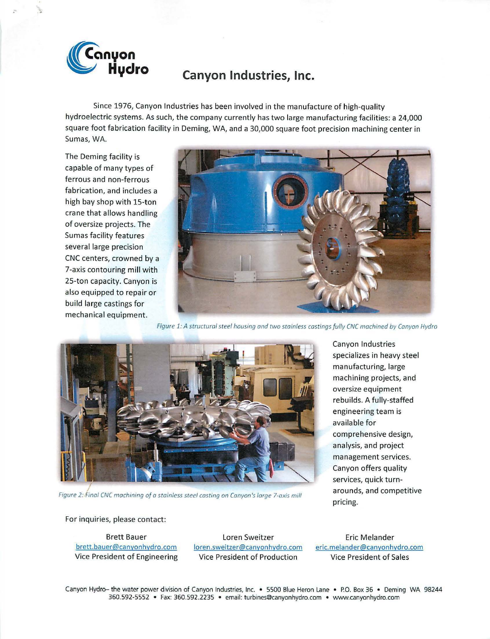

Since 1976, Canyon Industries has been involved in the manufacture of high-quality hydroelectric systems. As such, the company currently has two large manufacturing facilities: a 24,000 square foot fabrication facility in Deming, WA, and a 30,000 square foot precision machining center in Sumas, WA.

The Deming facility is capable of many types of ferrous and non-ferrous fabrication, and includes a high bay shop with 15-ton crane that allows handling of oversize projects. The Sumas facility features several large precision CNC centers, crowned by a 7-axis contouring mill with 25-ton capacity. Canyon is also equipped to repair or build large castings for mechanical equipment.



Figure 1: A strvcturol steel housing and two stainless costings fully CNC machined by Canyon Hydro



*I*  Figure 2: Fino/ CNC machining of o stainless steel costing on Canyon's forge 7-oxis mill

Canyon Industries specializes in heavy steel manufacturing, large machining projects, and oversize equipment rebuilds. A fully-staffed engineering team is available for comprehensive design, analysis, and project management services. Canyon offers quality services, quick turnarounds, and competitive pricing.

For inquiries, please contact:

Brett Bauer brett.bauer@canyonhydro.com Vice President of Engineering

Loren Sweitzer loren.sweitzer@canyonhydro.com Vice President of Production

Eric Melander eric.melander@canyonhydro.com Vice President of Sales

Canyon Hydro- the water power division of Canyon Industries, Inc. • 5500 Blue Heron Lane • P.O. Box 36 • Deming WA 98244 360.592-5552 • Fax: 360.592.2235 • email: turbines@canyonhydro.com • www.canyonhydro.com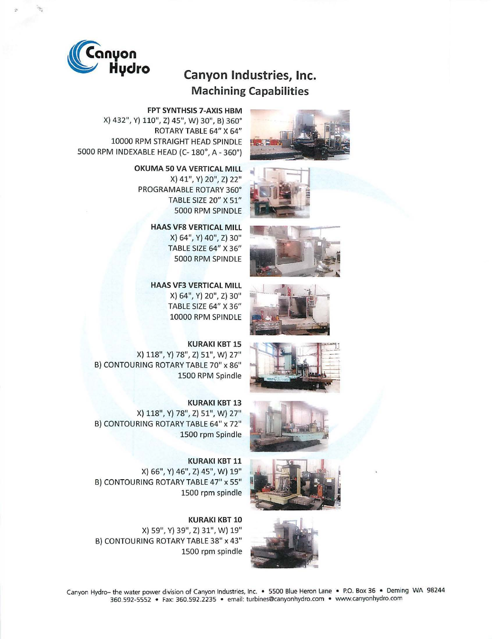

## **Machining Capabilities**

















**FPT SYNTHSIS 7-AXIS HBM** 

X) 432", Y) 110", Z) 45", W) 30", B) 360° ROTARY TABLE 64" X 64" 10000 RPM STRAIGHT HEAD SPINDLE 5000 RPM INDEXABLE HEAD (C- 180°, A - 360°)

> **OKUMA 50 VA VERTICAL MILL**  X) 41", Y) 20", Z) 22" PROGRAMABLE ROTARY 360° TABLE SIZE 20" X 51" 5000 RPM SPINDLE

> > **HAAS VF8 VERTICAL MILL**  X) 64", Y) 40", Z) 30" TABLE SIZE 64" X 36" 5000 RPM SPINDLE

**HAAS VF3 VERTICAL MILL**  X) 64", Y) 20", Z) 30" TABLE SIZE 64" X 36" 10000 RPM SPINDLE

**KURAKI KBT 15**  X) 118", Y) 78", Z) 51", W) 27" B) CONTOURING ROTARY TABLE 70" x 86" 1500 RPM Spindle

**KURAKI** KBT 13 X) 118", Y) 78", Z) 51", W) 27" B) CONTOURING ROTARY TABLE 64" x 72" 1500 rpm Spindle

**KURAKI KBT 11**  X) 66", Y) 46", Z) 45", W) 19" , B) CONTOURING ROTARY TABLE 47" x 55" 1500 rpm spindle

**KURAKI KBT 10**  X) 59", Y) 39", Z) 31", W) 19" B) CONTOURING ROTARY TABLE 38" x 43" 1500 rpm spindle

Canyon Hydro- the water power division of Canyon Industries, Inc. • 5500 Blue Heron Lane • P.O. Box 36 • Deming WA 98244 360.592-5552 • Fax: 360.592.2235 • email: turbines@canyonhydro.com • www.canyonhydro.com